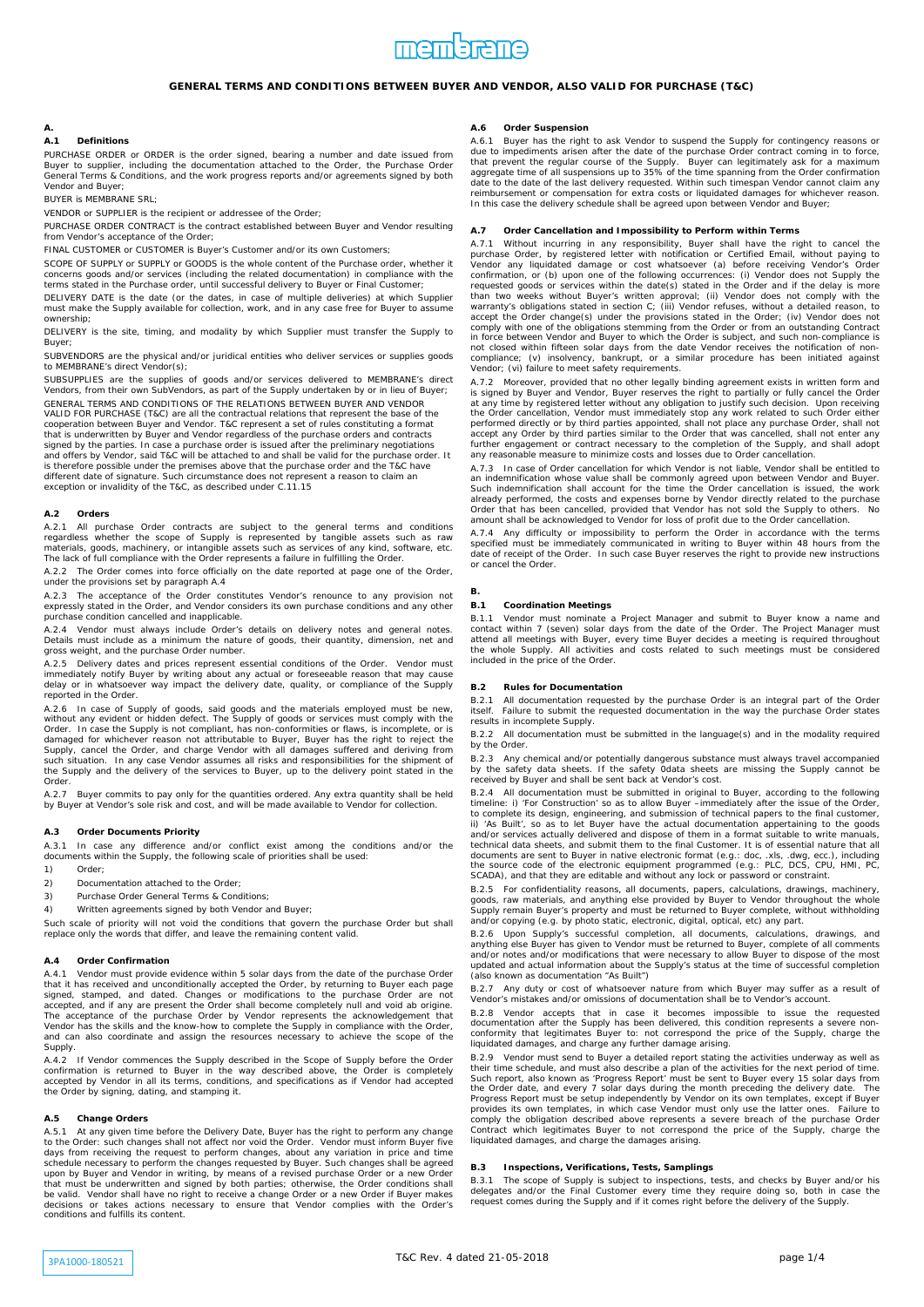# **A.**

# **A.1 Definitions**

PURCHASE ORDER or ORDER is the order signed, bearing a number and date issued from<br>Buyer to supplier, including the documentation attached to the Order, the Purchase Order<br>General Terms & Conditions, and the work progress Vendor and Buyer;

BUYER is MEMBRANE SRL;

VENDOR or SUPPLIER is the recipient or addressee of the Order;

PURCHASE ORDER CONTRACT is the contract established between Buyer and Vendor resulting from Vendor's acceptance of the Order;

FINAL CUSTOMER or CUSTOMER is Buyer's Customer and/or its own Customers;

SCOPE OF SUPPLY or SUPPLY or GOODS is the whole content of the Purchase order, whether it concerns goods and/or services (including the related documentation) in compliance with the terms stated in the Purchase order, until successful delivery to Buyer or Final Customer;

DELIVERY DATE is the date (or the dates, in case of multiple deliveries) at which Supplier must make the Supply available for collection, work, and in any case free for Buyer to assume ownership;

DELIVERY is the site, timing, and modality by which Supplier must transfer the Supply to Buyer;

SUBVENDORS are the physical and/or juridical entities who deliver services or supplies goods to MEMBRANE's direct Vendor(s);

SUBSUPPLIES are the supplies of goods and/or services delivered to MEMBRANE's direct Vendors, from their own SubVendors, as part of the Supply undertaken by or in lieu of Buyer; GENERAL TERMS AND CONDITIONS OF THE RELATIONS BETWEEN BUYER AND VENDOR<br>VALID FOR PURCHASE (T&C) are all the contractual relations that represent the base of the<br>cooperation between Buyer and Vendor. T&C represent a set of

that is underwritten by Buyer and Vendor regardless of the purchase orders and contracts signed by the parties. In case a purchase order is issued after the preliminary negotiations and offers by Vendor, said T&C will be attached to and shall be valid for the purchase order. It<br>is therefore possible under the premises above that the purchase order and the T&C have<br>different date of signature. Such cir exception or invalidity of the T&C, as described under C.11.15

### **A.2 Orders**

A.2.1 All purchase Order contracts are subject to the general terms and conditions<br>regardless whether the scope of Supply is represented by tangible assets such as raw<br>materials, goods, machinery, or intangible assets such

A.2.2 The Order comes into force officially on the date reported at page one of the Order, under the provisions set by paragraph A.4

A.2.3 The acceptance of the Order constitutes Vendor's renounce to any provision not expressly stated in the Order, and Vendor considers its own purchase conditions and any other purchase condition cancelled and inapplicable.

A.2.4 Vendor must always include Order's details on delivery notes and general notes. Details must include as a minimum the nature of goods, their quantity, dimension, net and gross weight, and the purchase Order number.

A.2.5 Delivery dates and prices represent essential conditions of the Order. Vendor must immediately notify Buyer by writing about any actual or foreseeable reason that may cause delay or in whatsoever way impact the delivery date, quality, or compliance of the Supply reported in the Order.

A.2.6 In case of Supply of goods, said goods and the materials employed must be new, without any evident or hidden defect. The Supply of goods or services must comply with the Supply of more Order. In case the Supply is no Order.

A.2.7 Buyer commits to pay only for the quantities ordered. Any extra quantity shall be held by Buyer at Vendor's sole risk and cost, and will be made available to Vendor for collection.

#### **A.3 Order Documents Priority**

A.3.1 In case any difference and/or conflict exist among the conditions and/or the documents within the Supply, the following scale of priorities shall be used:

- 1) Order;
- 2) Documentation attached to the Order
- 3) Purchase Order General Terms & Conditions;
- 4) Written agreements signed by both Vendor and Buyer;

Such scale of priority will not void the conditions that govern the purchase Order but shall replace only the words that differ, and leave the remaining content valid.

#### **A.4 Order Confirmation**

A.4.1 Vendor must provide evidence within 5 solar days from the date of the purchase Order that it has received and unconditionally accepted the Order, by returning to Buyer each page signed, stamped, and dated. Changes o Supply.

A.4.2 If Vendor commences the Supply described in the Scope of Supply before the Order<br>confirmation is returned to Buyer in the way described above, the Order is completely<br>accepted by Vendor in all its terms, conditions, the Order by signing, dating, and stamping it.

### **A.5 Change Orders**

A.5.1 At any given time before the Delivery Date, Buyer has the right to perform any change<br>to the Order: such changes shall not affect nor void the Order. Vendor must inform Buyer five<br>days from receiving the request to p upon by Buyer and Vendor in writing, by means of a revised purchase Order or a new Order<br>that must be underwritten and signed by both parties; otherwise, the Order conditions shall<br>be valid. Vendor shall have no right to r decisions or takes actions necessary to ensure that Vendor complies with the Order's conditions and fulfills its content.

### **A.6 Order Suspension**

A.6.1 Buyer has the right to ask Vendor to suspend the Supply for contingency reasons or due to impediments arisen after the date of the purchase Order contract coming in to force,<br>that prevent the regular course of the Supply. Buyer can legitimately ask for a maximum<br>aggregate time of all suspensions up to 35 reimbursement or compensation for extra costs or liquidated damages for whichever reason. In this case the delivery schedule shall be agreed upon between Vendor and Buyer;

## **A.7 Order Cancellation and Impossibility to Perform within Terms**

A.7.1 Without incurring in any responsibility, Buyer shall have the right to cancel the purchase Order, by registered letter with notification or Certified Email, without paying to Vendor any liquidated damage or cost what in force between Vendor and Buyer to which the Order is subject, and such non-compliance is not closed within fifteen solar days from the date Vendor receives the notification of noncompliance; (v) insolvency, bankrupt, or a similar procedure has been initiated against Vendor; (vi) failure to meet safety requirements.

A.7.2 Moreover, provided that no other legally binding agreement exists in written form and<br>is signed by Buyer and Vendor, Buyer reserves the right to partially or fully cancel the Order<br>at any time by registered letter wi

A.7.3 In case of Order cancellation for which Vendor is not liable, Vendor shall be entitled to an indemnification whose value shall be commonly agreed upon between Vendor and Buyer. Such indemnification shall account for the time the Order cancellation is issued, the work already performed, the costs and expenses borne by Vendor directly related to the purchase Order that has been cancelled, provided that Vendor has not sold the Supply to others. No amount shall be acknowledged to Vendor for loss of profit due to the Order cancellation.

A.7.4 Any difficulty or impossibility to perform the Order in accordance with the terms specified must be immediately communicated in writing to Buyer within 48 hours from the date of receipt of the Order. In such case Buyer reserves the right to provide new instructions or cancel the Order.

### **B.1 Coordination Meetings**

**B.**

B.1.1 Vendor must nominate a Project Manager and submit to Buyer know a name and contact within 7 (seven) solar days from the date of the Order. The Project Manager must attend all meetings with Buyer, every time Buyer decides a meeting is required throughout the whole Supply. All activities and costs related to such meetings must be considered included in the price of the Order.

### **B.2 Rules for Documentation**

B.2.1 All documentation requested by the purchase Order is an integral part of the Order itself. Failure to submit the requested documentation in the way the purchase Order states results in incomplete Supply.

B.2.2 All documentation must be submitted in the language(s) and in the modality required by the Order.

B.2.3 Any chemical and/or potentially dangerous substance must always travel accompanied<br>by the safety data sheets. If the safety 0data sheets are missing the Supply cannot be<br>received by Buyer and shall be sent back at Ve

*B.2.4* All documentation must be submitted in original to Buyer, according to the following timeline: i) 'For Construction' so as to allow Buyer –immediately after the issue of the Order,<br>to complete its design, engineering, and submission of technical papers to the final customer,<br>ii) 'As Built', so as to let Bu and/or services actually delivered and dispose of them in a format suitable to write manuals, technical data sheets, and submit them to the final Customer. It is of essential nature that all documents are sent to Buyer in

B.2.5 For confidentiality reasons, all documents, papers, calculations, drawings, machinery,<br>goods, raw materials, and anything else provided by Buyer to Vendor throughout the whole<br>Supply remain Buyer's property and must and/or copying (e.g. by photo static, electronic, digital, optical, etc) any part.

B.2.6 Upon Supply's successful completion, all documents, calculations, drawings, and anything else Buyer has given to Vendor must be returned to Buyer, complete of all comments and/or notes and/or modifications that were necessary to allow Buyer to dispose of the most updated and actual information about the Supply's status at the time of successful completion (also known as documentation "As Built")

B.2.7 Any duty or cost of whatsoever nature from which Buyer may suffer as a result of Vendor's mistakes and/or omissions of documentation shall be to Vendor's account.

B.2.8 Vendor accepts that in case it becomes impossible to issue the requested<br>documentation after the Supply has been delivered, this condition represents a severe non-<br>conformity that legitimates Buyer to: not correspond liquidated damages, and charge any further damage arising.

B.2.9 Vendor must send to Buyer a detailed report stating the activities underway as well as their time schedule, and must also describe a plan of the activities for the next period of time. Such report, also known as 'Progress Report' must be sent to Buyer every 15 solar days from<br>the Order date, and every 7 solar days during the month preceding the delivery date. The<br>Progress Report must be setup independent

## **B.3 Inspections, Verifications, Tests, Samplings**

B.3.1 The scope of Supply is subject to inspections, tests, and checks by Buyer and/or his<br>delegates and/or the Final Customer every time they require doing so, both in case the<br>request comes during the Supply and if it co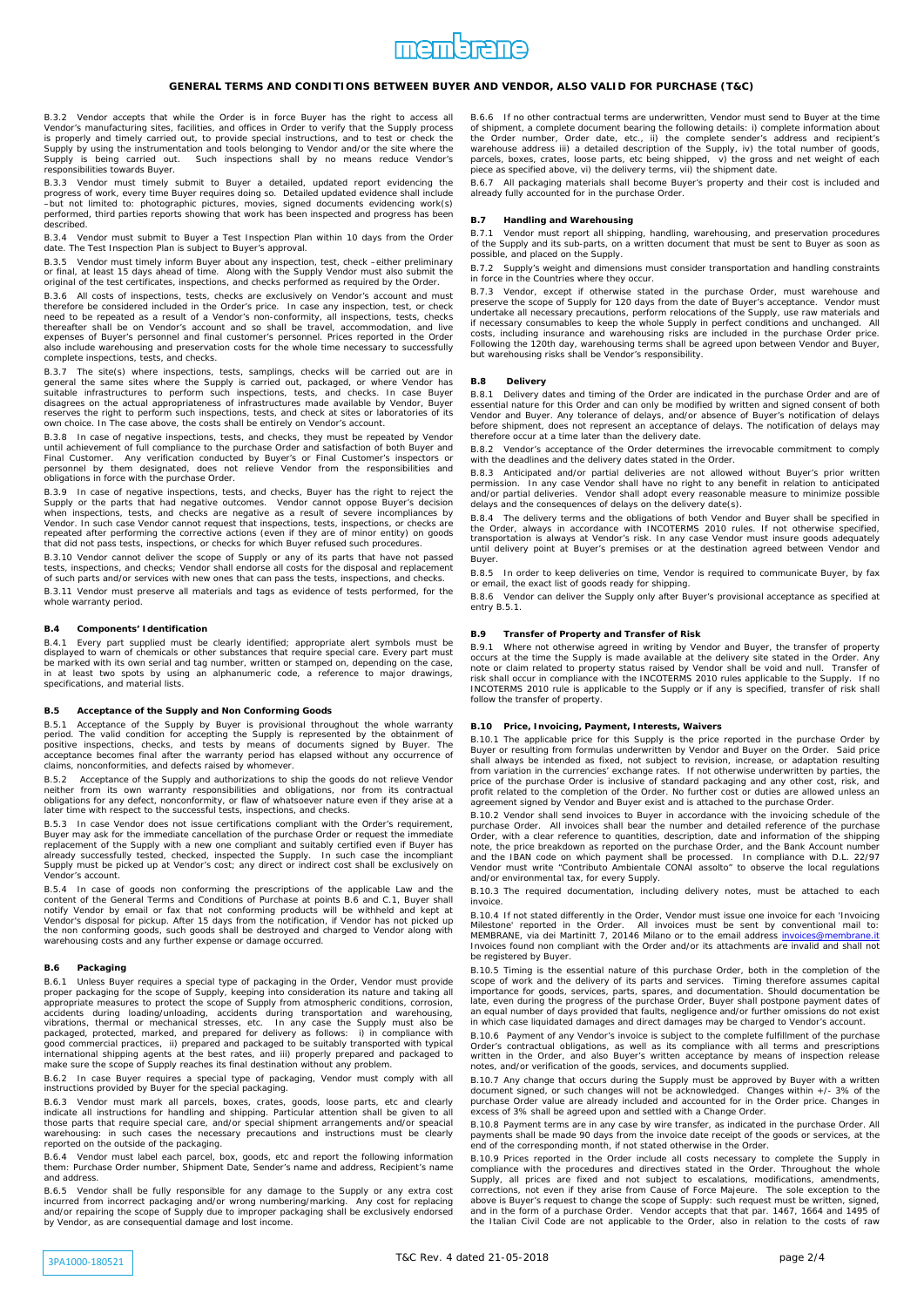

B.3.2 Vendor accepts that while the Order is in force Buyer has the right to access all Vendor's manufacturing sites, facilities, and offices in Order to verify that the Supply process<br>is properly and timely carried out, to provide special instructions, and to test or check the<br>Supply by using the instrumenta

B.3.3 Vendor must timely submit to Buyer a detailed, updated report evidencing the progress of work, every time Buyer requires doing so. Detailed updated evidence shall include<br>–but not limited to: photographic pictures, movies, signed documents evidencing work(s)<br>performed, third parties report described.

B.3.4 Vendor must submit to Buyer a Test Inspection Plan within 10 days from the Order date. The Test Inspection Plan is subject to Buyer's approval.

B.3.5 Vendor must timely inform Buyer about any inspection, test, check –either preliminary or final, at least 15 days ahead of time. Along with the Supply Vendor must also submit the original of the test certificates, inspections, and checks performed as required by the Order.

B.3.6 All costs of inspections, tests, checks are exclusively on Vendor's account and must therefore be considered included in the Order's price. In case any inspection, test, or check<br>need to be repeated as a result of a Vendor's non-conformity, all inspections, tests, checks<br>thereafter shall be on Vendor's acc expenses of Buyer's personnel and final customer's personnel. Prices reported in the Order also include warehousing and preservation costs for the whole time necessary to successfully complete inspections, tests, and checks.

B.3.7 The site(s) where inspections, tests, samplings, checks will be carried out are in general the same sites where the Supply is carried out, packaged, or where Vendor has suitable infrastructures to perform such inspec own choice. In The case above, the costs shall be entirely on Vendor's account.

B.3.8 In case of negative inspections, tests, and checks, they must be repeated by Vendor until achievement of full compliance to the purchase Order and satisfaction of both Buyer and<br>Final Customer. Any verification conducted by Buyer's or Final Customer's inspectors or<br>personnel by them designated, does not r

B.3.9 In case of negative inspections, tests, and checks, Buyer has the right to reject the Supply or the parts that had negative outcomes. Vendor cannot oppose Buyer's decision when inspections, tests, and checks are nega repeated after performing the corrective actions (even if they are of minor entity) on goods that did not pass tests, inspections, or checks for which Buyer refused such procedures.

B.3.10 Vendor cannot deliver the scope of Supply or any of its parts that have not passed tests, inspections, and checks; Vendor shall endorse all costs for the disposal and replacement of such parts and/or services with new ones that can pass the tests, inspections, and checks.

B.3.11 Vendor must preserve all materials and tags as evidence of tests performed, for the whole warranty period

#### **B.4 Components' Identification**

B.4.1 Every part supplied must be clearly identified; appropriate alert symbols must be displayed to warn of chemicals or other substances that require special care. Every part must be marked with its own serial and tag number, written or stamped on, depending on the case, in at least two spots by using an alphanumeric code, a reference to major drawings, specifications, and material lists.

### **B.5 Acceptance of the Supply and Non Conforming Goods**

B.5.1 Acceptance of the Supply by Buyer is provisional throughout the whole warranty period. The valid condition for accepting the Supply is represented by the obtainment of positive inspections, checks, and tests by means of documents signed by Buyer. The acceptance becomes final after the warranty period

B.5.2 Acceptance of the Supply and authorizations to ship the goods do not relieve Vendor neither from its own warranty responsibilities and obligations, nor from its contractual obligations for any defect, nonconformity, or flaw of whatsoever nature even if they arise at a later time with respect to the successful tests, inspections, and checks.

B.5.3 In case Vendor does not issue certifications compliant with the Order's requirement, Buyer may ask for the immediate cancellation of the purchase Order or request the immediate replacement of the Supply with a new one compliant and suitably certified even if Buyer has already successfully tested, checked,

B.5.4 In case of goods non conforming the prescriptions of the applicable Law and the content of the General Terms and Conditions of Purchase at points B.6 and C.1, Buyer shall notify Vendor by email or fax that not conforming products will be withheld and kept at Vendor's disposal for pickup. After 15 days from the notification, if Vendor has not picked up<br>the non conforming goods, such goods shall be destroyed and charged to Vendor along with<br>warehousing costs and any further expe

#### **B.6 Packaging**

B.6.1 Unless Buyer requires a special type of packaging in the Order, Vendor must provide proper packaging for the scope of Supply, keeping into consideration its nature and taking all appropriate measures to protect the scope of Supply from atmospheric conditions, corrosion, accidents during loading/unloading, accidents during transportation and warehousing,<br>vibrations, thermal or mechanical stresses, etc. In any case the Supply must also be<br>packaged, protected, marked, and prepared for delive make sure the scope of Supply reaches its final destination without any problem.

B.6.2 In case Buyer requires a special type of packaging, Vendor must comply with all instructions provided by Buyer for the special packaging.

B.6.3 Vendor must mark all parcels, boxes, crates, goods, loose parts, etc and clearly indicate all instructions for handling and shipping. Particular attention shall be given to all<br>those parts that require special care, and/or special shipment arrangements and/or speacial<br>warehousing: in such cases the nec reported on the outside of the packaging.

B.6.4 Vendor must label each parcel, box, goods, etc and report the following information them: Purchase Order number, Shipment Date, Sender's name and address, Recipient's name and address.

B.6.5 Vendor shall be fully responsible for any damage to the Supply or any extra cost<br>incurred from incorrect packaging and/or wrong numbering/marking. Any cost for replacing<br>and/or repairing the scope of Supply due to im by Vendor, as are consequential damage and lost income.

B.6.6 If no other contractual terms are underwritten, Vendor must send to Buyer at the time of shipment, a complete document bearing the following details: i) complete information about<br>the Order number, Order date, etc., ii) the complete sender's address and recipient's<br>warehouse address iii) a detailed descript

B.6.7 All packaging materials shall become Buyer's property and their cost is included and already fully accounted for in the purchase Order.

### **B.7 Handling and Warehousing**

B.7.1 Vendor must report all shipping, handling, warehousing, and preservation procedures of the Supply and its sub-parts, on a written document that must be sent to Buyer as soon as possible, and placed on the Supply.

B.7.2 Supply's weight and dimensions must consider transportation and handling constraints in force in the Countries where they occur.

B.7.3 Vendor, except if otherwise stated in the purchase Order, must warehouse and<br>preserve the scope of Supply for 120 days from the date of Buyer's acceptance. Vendor must<br>undertake all necessary precautions, perform rel costs, including insurance and warehousing risks are included in the purchase Order price.<br>Following the 120th day, warehousing terms shall be agreed upon between Vendor and Buyer,<br>but warehousing risks shall be Vendor's r

### **B.8 Delivery**

B.8.1 Delivery dates and timing of the Order are indicated in the purchase Order and are of essential nature for this Order and can only be modified by written and signed consent of both Vendor and Buyer. Any tolerance of delays, and/or absence of Buyer's notification of delays<br>before shipment, does not represent an acceptance of delays. The notification of delays may<br>therefore occur at a time later than t

B.8.2 Vendor's acceptance of the Order determines the irrevocable commitment to comply with the deadlines and the delivery dates stated in the Order.

B.8.3 Anticipated and/or partial deliveries are not allowed without Buyer's prior written<br>permission. In any case Vendor shall have no right to any benefit in relation to anticipated<br>and/or partial deliveries. Vendor shall

B.8.4 The delivery terms and the obligations of both Vendor and Buyer shall be specified in the Order, always in accordance with INCOTERMS 2010 rules. If not otherwise specified, transportation is always at Vendor's risk. In any case Vendor must insure goods adequately until delivery point at Buyer's premises or at the destination agreed between Vendor and Buyer.

B.8.5 In order to keep deliveries on time, Vendor is required to communicate Buyer, by fax or email, the exact list of goods ready for shipping.

B.8.6 Vendor can deliver the Supply only after Buyer's provisional acceptance as specified at entry B.5.1.

## **B.9 Transfer of Property and Transfer of Risk**

B.9.1 Where not otherwise agreed in writing by Vendor and Buyer, the transfer of property occurs at the time the Supply is made available at the delivery site stated in the Order. Any note or claim related to property stat follow the transfer of property.

## **B.10 Price, Invoicing, Payment, Interests, Waivers**

B.10.1 The applicable price for this Supply is the price reported in the purchase Order by Buyer or resulting from formulas underwritten by Vendor and Buyer on the Order. Said price shall always be intended as fixed, not subject to revision, increase, or adaptation resulting<br>from variation in the currencies' exchange rates. If not otherwise underwritten by parties, the<br>price of the purchase Order is i profit related to the completion of the Order. No further cost or duties are allowed unless an agreement signed by Vendor and Buyer exist and is attached to the purchase Order.

B.10.2 Vendor shall send invoices to Buyer in accordance with the invoicing schedule of the purchase Order. All invoices shall bear the number and detailed reference of the purchase<br>Order, with a clear reference to quantities, description, date and information of the shipping<br>note, the price breakdown as reporte and the IBAN code on which payment shall be processed. In compliance with D.L. 22/97 Vendor must write "Contributo Ambientale CONAI assolto" to observe the local regulations and/or environmental tax, for every Supply.

B.10.3 The required documentation, including delivery notes, must be attached to each invoice.

B.10.4 If not stated differently in the Order, Vendor must issue one invoice for each 'Invoicing Milestone' reported in the Order. All invoices must be sent by conventional mail to:<br>MEMBRANE, via dei Martinitt 7, 20146 Milano or to the email address <u>invoices@membrane.it</u><br>Invoices found non compliant with the Order an be registered by Buyer.

B.10.5 Timing is the essential nature of this purchase Order, both in the completion of the scope of work and the delivery of its parts and services. Timing therefore assumes capital importance for goods, services, parts, in which case liquidated damages and direct damages may be charged to Vendor's account.

B.10.6 Payment of any Vendor's invoice is subject to the complete fulfillment of the purchase Order's contractual obligations, as well as its compliance with all terms and prescriptions written in the Order, and also Buyer

B.10.7 Any change that occurs during the Supply must be approved by Buyer with a written document signed, or such changes will not be acknowledged. Changes within +/- 3% of the<br>purchase Order value are already included and accounted for in the Order price. Changes in<br>excess of 3% shall be agreed upon and settl

B.10.8 Payment terms are in any case by wire transfer, as indicated in the purchase Order. All payments shall be made 90 days from the invoice date receipt of the goods or services, at the end of the corresponding month, if not stated otherwise in the Order.

B.10.9 Prices reported in the Order include all costs necessary to complete the Supply in compliance with the procedures and directives stated in the Order. Throughout the whole<br>Supply, all prices are fixed and not subject to escalations, modifications, amendments,<br>corrections, not even if they arise from Cause above is Buyer's request to change the scope of Supply: such request must be written, signed,<br>and in the form of a purchase Order. Vendor accepts that that par. 1467, 1664 and 1495 of<br>the Italian Civil Code are not applica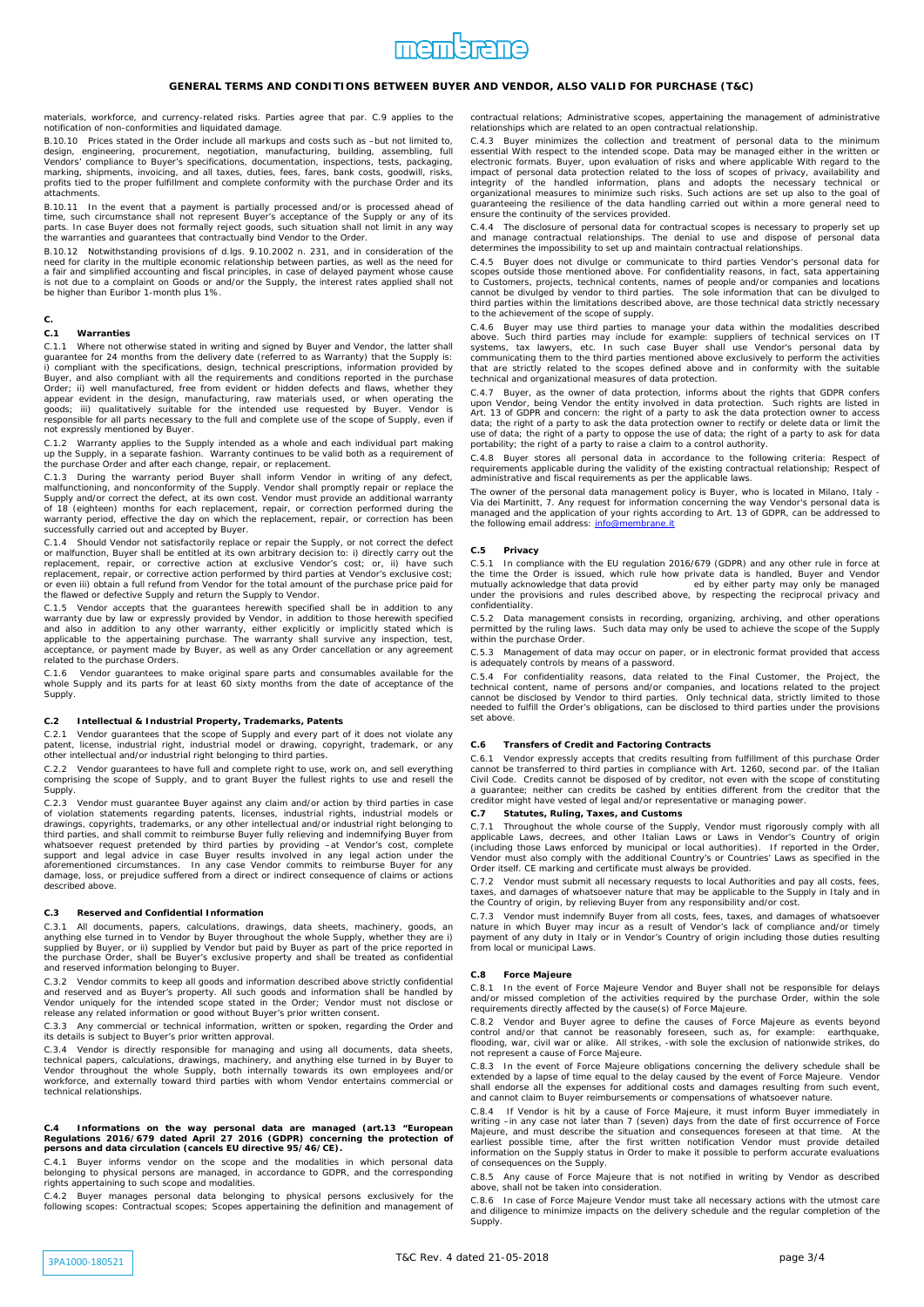

materials, workforce, and currency-related risks. Parties agree that par. C.9 applies to the notification of non-conformities and liquidated damage.

B.10.10 Prices stated in the Order include all markups and costs such as –but not limited to, design, engineering, procurement, negotiation, manufacturing, building, assembling, full<br>Vendors' compliance to Buyer's specifications, documentation, inspections, tests, packaging,<br>marking, shipments, invoicing, and all t .<br>attachments.

B.10.11 In the event that a payment is partially processed and/or is processed ahead of<br>time, such circumstance shall not represent Buyer's acceptance of the Supply or any of its<br>parts. In case Buyer does not formally reje the warranties and guarantees that contractually bind Vendor to the Order.

B.10.12 Notwithstanding provisions of d.lgs. 9.10.2002 n. 231, and in consideration of the need for clarity in the multiple economic relationship between parties, as well as the need for a fair and simplified accounting and fiscal principles, in case of delayed payment whose cause<br>is not due to a complaint on Goods or and/or the Supply, the interest rates applied shall not<br>be higher than Euribor 1-month pl

# **C.**

## **C.1 Warranties**

C.1.1 Where not otherwise stated in writing and signed by Buyer and Vendor, the latter shall guarantee for 24 months from the delivery date (referred to as Warranty) that the Supply is: i) compliant with the specifications, design, technical prescriptions, information provided by<br>Buyer, and also compliant with all the requirements and conditions reported in the purchase<br>Order; ii) well manufactured, free appear evident in the design, manufacturing, raw materials used, or when operating the<br>goods; iii) qualitatively suitable for the intended use requested by Buyer. Vendor is<br>responsible for all parts necessary to the full a not expressly mentioned by Buyer.

C.1.2 Warranty applies to the Supply intended as a whole and each individual part making<br>up the Supply, in a separate fashion. Warranty continues to be valid both as a requirement of<br>the purchase Order and after each chang

C.1.3 During the warranty period Buyer shall inform Vendor in writing of any defect, malfunctioning, and nonconformity of the Supply. Vendor shall promptly repair or replace the Supply and/or correct the defect, at its own successfully carried out and accepted by Buyer.

C.1.4 Should Vendor not satisfactorily replace or repair the Supply, or not correct the defect<br>or malfunction, Buyer shall be entitled at its own arbitrary decision to: i) directly carry out the<br>replacement, repair, or cor the flawed or defective Supply and return the Supply to Vendor.

C.1.5 Vendor accepts that the guarantees herewith specified shall be in addition to any warranty due by law or expressly provided by Vendor, in addition to those herewith specified and also in addition to any other warrant related to the purchase Orders.

C.1.6 Vendor guarantees to make original spare parts and consumables available for the whole Supply and its parts for at least 60 sixty months from the date of acceptance of the Supply.

## **C.2 Intellectual & Industrial Property, Trademarks, Patents**

C.2.1 Vendor guarantees that the scope of Supply and every part of it does not violate any patent, license, industrial right, industrial model or drawing, copyright, trademark, or any other intellectual and/or industrial right belonging to third parties.

C.2.2 Vendor guarantees to have full and complete right to use, work on, and sell everything comprising the scope of Supply, and to grant Buyer the fullest rights to use and resell the Supply.

C.2.3 Vendor must guarantee Buyer against any claim and/or action by third parties in case<br>of violation statements regarding patents, licenses, industrial rights, industrial models or<br>drawings, copyrights, trade third parties, and shall commit to reimburse Buyer fully relieving and indemnifying Buyer from<br>whatsoever request pretended by third parties by providing —at Vendor's cost, complete<br>support and legal advice in case Buyer r aforementioned circumstances. In any case Vendor commits to reimburse Buyer for any damage, loss, or prejudice suffered from a direct or indirect consequence of claims or actions described above.

#### **C.3 Reserved and Confidential Information**

C.3.1 All documents, papers, calculations, drawings, data sheets, machinery, goods, an anything else turned in to Vendor by Buyer throughout the whole Supply, whether they are i) supplied by Buyer, or ii) supplied by Vendor but paid by Buyer as part of the price reported in the purchase Order, shall be Buyer's exclusive property and shall be treated as confidential and reserved information belonging to Buyer.

C.3.2 Vendor commits to keep all goods and information described above strictly confidential and reserved and as Buyer's property. All such goods and information shall be handled by Vendor uniquely for the intended scope stated in the Order; Vendor must not disclose or release any related information or good without Buyer's prior written consent.

C.3.3 Any commercial or technical information, written or spoken, regarding the Order and its details is subject to Buyer's prior written approval.

C.3.4 Vendor is directly responsible for managing and using all documents, data sheets, technical papers, calculations, drawings, machinery, and anything else turned in by Buyer to<br>Vendor throughout the whole Supply, both internally towards its own employees and/or<br>workforce, and externally toward third parti technical relationships.

# **C.4 Informations on the way personal data are managed (art.13 "European Regulations 2016/679 dated April 27 2016 (GDPR) concerning the protection of persons and data circulation (cancels EU directive 95/46/CE).**

C.4.1 Buyer informs vendor on the scope and the modalities in which personal data belonging to physical persons are managed, in accordance to GDPR, and the corresponding rights appertaining to such scope and modalities.

C.4.2 Buyer manages personal data belonging to physical persons exclusively for the following scopes: Contractual scopes; Scopes appertaining the definition and management of

contractual relations; Administrative scopes, appertaining the management of administrative relationships which are related to an open contractual relationship.

C.4.3 Buyer minimizes the collection and treatment of personal data to the minimum essential With respect to the intended scope. Data may be managed either in the written or electronic formats. Buyer, upon evaluation of risks and where applicable With regard to the impact of personal data protection related to the loss of scopes of privacy, availability and<br>integrity of the handled information, plans and adopts the necessary technical or<br>organizational measures to minimize such risks guaranteeing the resilience of the data handling carried out within a more general need to ensure the continuity of the services provided.

C.4.4 The disclosure of personal data for contractual scopes is necessary to properly set up and manage contractual relationships. The denial to use and dispose of personal data determines the impossibility to set up and maintain contractual relationships.

C.4.5 Buyer does not divulge or communicate to third parties Vendor's personal data for scopes outside those mentioned above. For confidentiality reasons, in fact, sata appertaining<br>to Customers, projects, technical contents, names of people and/or companies and locations<br>cannot be divulged by vendor to third to the achievement of the scope of supply.

C.4.6 Buyer may use third parties to manage your data within the modalities described<br>above. Such third parties may include for example: suppliers of technical services on IT<br>systems, tax lawyers, etc. In such case Buyer s

C.4.7 Buyer, as the owner of data protection, informs about the rights that GDPR confers upon Vendor, being Vendor the entity involved in data protection. Such rights are listed in Art. 13 of GDPR and concern: the right of a party to ask the data protection owner to access data; the right of a party to ask the

C.4.8 Buyer stores all personal data in accordance to the following criteria: Respect of requirements applicable during the validity of the existing contractual relationship; Respect of administrative and fiscal requirements as per the applicable laws.

The owner of the personal data management policy is Buyer, who is located in Milano, Italy - Via dei Martinitt, 7. Any request for information concerning the way Vendor's personal data is managed and the application of your rights according to Art. 13 of GDPR, can be addressed to the following email address: *info@membrane.it* 

### **C.5 Privacy**

C.5.1 In compliance with the EU regulation 2016/679 (GDPR) and any other rule in force at the time the Order is issued, which rule how private data is handled, Buyer and Vendor mutually acknowledge that data provid ed by either party may only be managed under the provisions and rules described above, by respecting the reciprocal privacy and confidentiality.

C.5.2 Data management consists in recording, organizing, archiving, and other operations permitted by the ruling laws. Such data may only be used to achieve the scope of the Supply within the purchase Order.

C.5.3 Management of data may occur on paper, or in electronic format provided that access is adequately controls by means of a password.

C.5.4 For confidentiality reasons, data related to the Final Customer, the Project, the technical content, name of persons and/or companies, and locations related to the project<br>cannot be disclosed by Vendor to third parties. Only technical data, strictly limited to those<br>needed to fulfill the Order's obligat set above

## **C.6 Transfers of Credit and Factoring Contracts**

C.6.1 Vendor expressly accepts that credits resulting from fulfillment of this purchase Order<br>cannot be transferred to third parties in compliance with Art. 1260, second par. of the Italian<br>Civil Code. Credits cannot be di creditor might have vested of legal and/or representative or managing power.

## **C.7 Statutes, Ruling, Taxes, and Customs**

C.7.1 Throughout the whole course of the Supply, Vendor must rigorously comply with all applicable Laws, decrees, and other Italian Laws or Laws in Vendor's Country of origin (including those Laws in Vendor's Country of or Order itself. CE marking and certificate must always be provided.

C.7.2 Vendor must submit all necessary requests to local Authorities and pay all costs, fees,<br>taxes, and damages of whatsoever nature that may be applicable to the Supply in Italy and in<br>the Country of origin, by relieving

C.7.3 Vendor must indemnify Buyer from all costs, fees, taxes, and damages of whatsoever nature in which Buyer may incur as a result of Vendor's lack of compliance and/or timely payment of any duty in Italy or in Vendor's Country of origin including those duties resulting from local or municipal Laws.

### **C.8 Force Majeure**

C.8.1 In the event of Force Majeure Vendor and Buyer shall not be responsible for delays and/or missed completion of the activities required by the purchase Order, within the sole requirements directly affected by the cause(s) of Force Majeure.

C.8.2 Vendor and Buyer agree to define the causes of Force Majeure as events beyond<br>control and/or that cannot be reasonably foreseen, such as, for example: earthquake,<br>flooding, war, civil war or alike. All strikes, -with not represent a cause of Force Majeure.

C.8.3 In the event of Force Majeure obligations concerning the delivery schedule shall be extended by a lapse of time equal to the delay caused by the event of Force Majeure. Vendor shall endorse all the expenses for additional costs and damages resulting from such event, and cannot claim to Buyer reimbursements or compensations of whatsoever nature.

C.8.4 If Vendor is hit by a cause of Force Majeure, it must inform Buyer immediately in writing –in any case not later than 7 (seven) days from the date of first occurrence of Force<br>Majeure, and must describe the situation and consequences foreseen at that time. At the<br>earliest possible time, after the first information on the Supply status in Order to make it possible to perform accurate evaluations of consequences on the Supply.

C.8.5 Any cause of Force Majeure that is not notified in writing by Vendor as described above, shall not be taken into consideration.

C.8.6 In case of Force Majeure Vendor must take all necessary actions with the utmost care and diligence to minimize impacts on the delivery schedule and the regular completion of the **Supply**